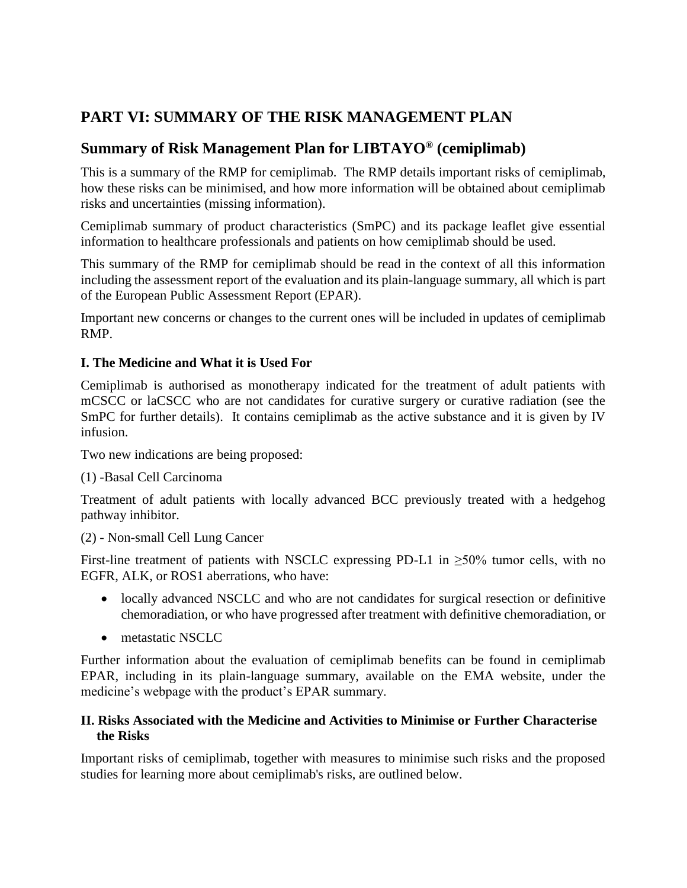# **PART VI: SUMMARY OF THE RISK MANAGEMENT PLAN**

# **Summary of Risk Management Plan for LIBTAYO® (cemiplimab)**

This is a summary of the RMP for cemiplimab. The RMP details important risks of cemiplimab, how these risks can be minimised, and how more information will be obtained about cemiplimab risks and uncertainties (missing information).

Cemiplimab summary of product characteristics (SmPC) and its package leaflet give essential information to healthcare professionals and patients on how cemiplimab should be used.

This summary of the RMP for cemiplimab should be read in the context of all this information including the assessment report of the evaluation and its plain-language summary, all which is part of the European Public Assessment Report (EPAR).

Important new concerns or changes to the current ones will be included in updates of cemiplimab RMP.

# **I. The Medicine and What it is Used For**

Cemiplimab is authorised as monotherapy indicated for the treatment of adult patients with mCSCC or laCSCC who are not candidates for curative surgery or curative radiation (see the SmPC for further details). It contains cemiplimab as the active substance and it is given by IV infusion.

Two new indications are being proposed:

# (1) -Basal Cell Carcinoma

Treatment of adult patients with locally advanced BCC previously treated with a hedgehog pathway inhibitor.

(2) - Non-small Cell Lung Cancer

First-line treatment of patients with NSCLC expressing PD-L1 in  $\geq$ 50% tumor cells, with no EGFR, ALK, or ROS1 aberrations, who have:

- locally advanced NSCLC and who are not candidates for surgical resection or definitive chemoradiation, or who have progressed after treatment with definitive chemoradiation, or
- metastatic NSCLC

Further information about the evaluation of cemiplimab benefits can be found in cemiplimab EPAR, including in its plain-language summary, available on the EMA website, under the medicine's webpage with the product's EPAR summary.

## **II. Risks Associated with the Medicine and Activities to Minimise or Further Characterise the Risks**

Important risks of cemiplimab, together with measures to minimise such risks and the proposed studies for learning more about cemiplimab's risks, are outlined below.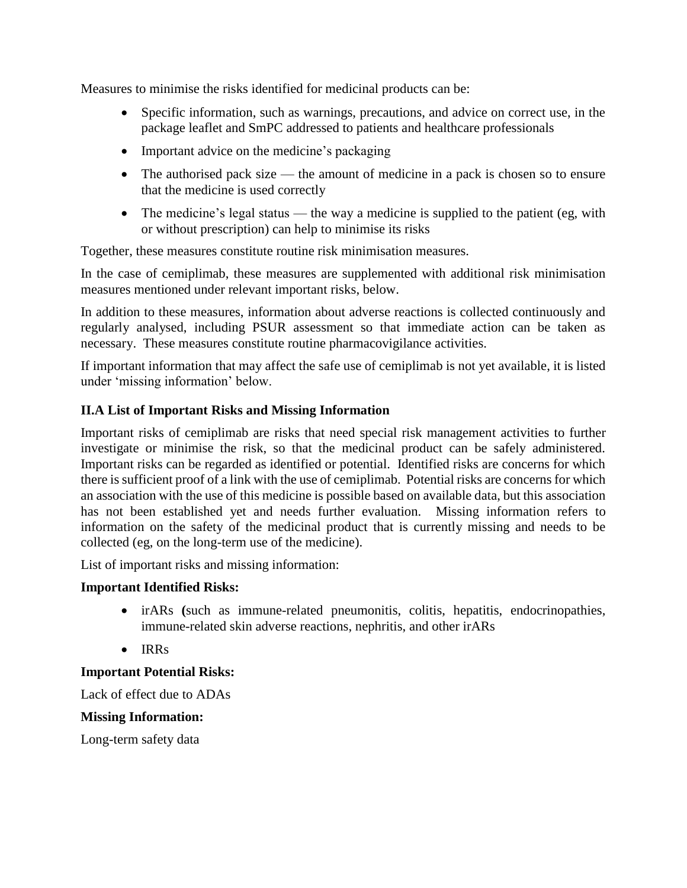Measures to minimise the risks identified for medicinal products can be:

- Specific information, such as warnings, precautions, and advice on correct use, in the package leaflet and SmPC addressed to patients and healthcare professionals
- Important advice on the medicine's packaging
- The authorised pack size the amount of medicine in a pack is chosen so to ensure that the medicine is used correctly
- The medicine's legal status the way a medicine is supplied to the patient (eg, with or without prescription) can help to minimise its risks

Together, these measures constitute routine risk minimisation measures.

In the case of cemiplimab, these measures are supplemented with additional risk minimisation measures mentioned under relevant important risks, below.

In addition to these measures, information about adverse reactions is collected continuously and regularly analysed, including PSUR assessment so that immediate action can be taken as necessary. These measures constitute routine pharmacovigilance activities.

If important information that may affect the safe use of cemiplimab is not yet available, it is listed under 'missing information' below.

# **II.A List of Important Risks and Missing Information**

Important risks of cemiplimab are risks that need special risk management activities to further investigate or minimise the risk, so that the medicinal product can be safely administered. Important risks can be regarded as identified or potential. Identified risks are concerns for which there is sufficient proof of a link with the use of cemiplimab. Potential risks are concerns for which an association with the use of this medicine is possible based on available data, but this association has not been established yet and needs further evaluation. Missing information refers to information on the safety of the medicinal product that is currently missing and needs to be collected (eg, on the long-term use of the medicine).

List of important risks and missing information:

# **Important Identified Risks:**

- irARs **(**such as immune-related pneumonitis, colitis, hepatitis, endocrinopathies, immune-related skin adverse reactions, nephritis, and other irARs
- IRRs

# **Important Potential Risks:**

Lack of effect due to ADAs

#### **Missing Information:**

Long-term safety data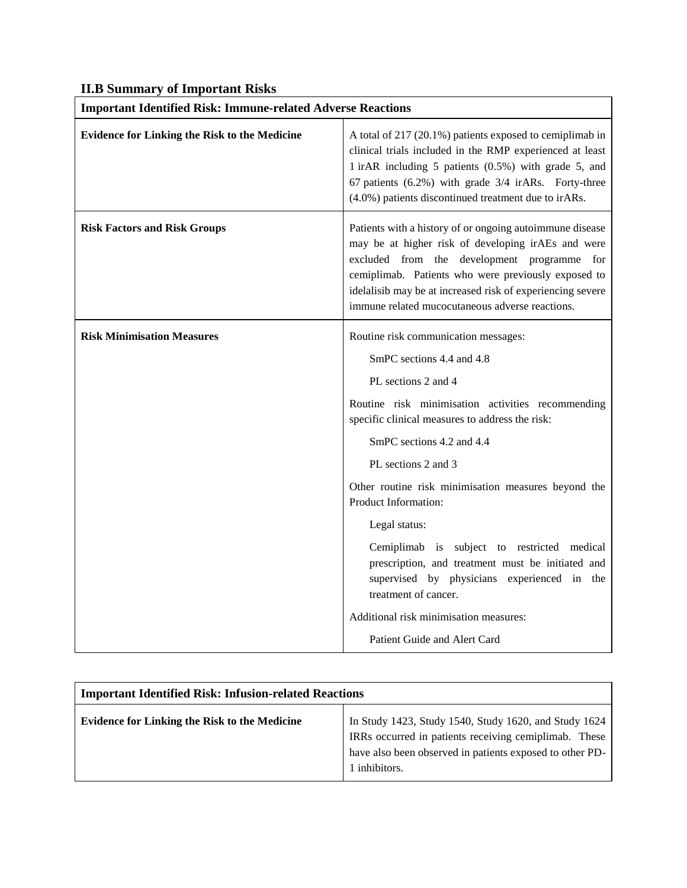|  |  |  | <b>II.B Summary of Important Risks</b> |
|--|--|--|----------------------------------------|
|--|--|--|----------------------------------------|

| <b>Important Identified Risk: Immune-related Adverse Reactions</b> |                                                                                                                                                                                                                                                                                                                                                                                                                                                                                                                                                                           |  |
|--------------------------------------------------------------------|---------------------------------------------------------------------------------------------------------------------------------------------------------------------------------------------------------------------------------------------------------------------------------------------------------------------------------------------------------------------------------------------------------------------------------------------------------------------------------------------------------------------------------------------------------------------------|--|
| <b>Evidence for Linking the Risk to the Medicine</b>               | A total of 217 (20.1%) patients exposed to cemiplimab in<br>clinical trials included in the RMP experienced at least<br>1 irAR including 5 patients (0.5%) with grade 5, and<br>67 patients (6.2%) with grade 3/4 irARs. Forty-three<br>(4.0%) patients discontinued treatment due to irARs.                                                                                                                                                                                                                                                                              |  |
| <b>Risk Factors and Risk Groups</b>                                | Patients with a history of or ongoing autoimmune disease<br>may be at higher risk of developing irAEs and were<br>excluded from the development programme for<br>cemiplimab. Patients who were previously exposed to<br>idelalisib may be at increased risk of experiencing severe<br>immune related mucocutaneous adverse reactions.                                                                                                                                                                                                                                     |  |
| <b>Risk Minimisation Measures</b>                                  | Routine risk communication messages:<br>SmPC sections 4.4 and 4.8<br>PL sections 2 and 4<br>Routine risk minimisation activities recommending<br>specific clinical measures to address the risk:<br>SmPC sections 4.2 and 4.4<br>PL sections 2 and 3<br>Other routine risk minimisation measures beyond the<br>Product Information:<br>Legal status:<br>Cemiplimab is subject to restricted medical<br>prescription, and treatment must be initiated and<br>supervised by physicians experienced in the<br>treatment of cancer.<br>Additional risk minimisation measures: |  |
|                                                                    | Patient Guide and Alert Card                                                                                                                                                                                                                                                                                                                                                                                                                                                                                                                                              |  |

| <b>Important Identified Risk: Infusion-related Reactions</b> |                                                                                                                                                                                             |  |
|--------------------------------------------------------------|---------------------------------------------------------------------------------------------------------------------------------------------------------------------------------------------|--|
| <b>Evidence for Linking the Risk to the Medicine</b>         | In Study 1423, Study 1540, Study 1620, and Study 1624<br>IRRs occurred in patients receiving cemiplimab. These<br>have also been observed in patients exposed to other PD-<br>1 inhibitors. |  |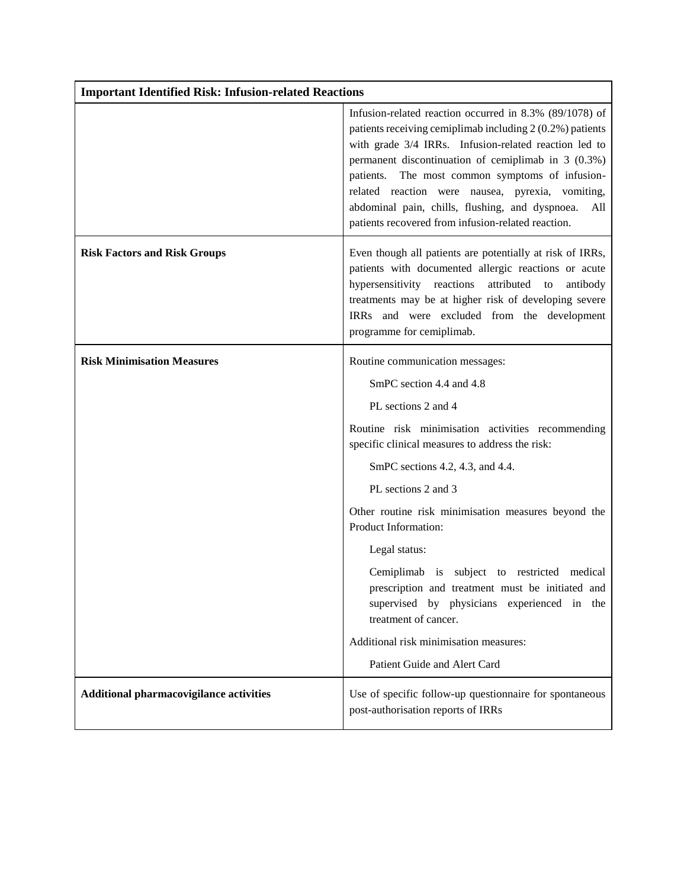| <b>Important Identified Risk: Infusion-related Reactions</b> |                                                                                                                                                                                                                                                                                                                                                                                                                                                               |  |
|--------------------------------------------------------------|---------------------------------------------------------------------------------------------------------------------------------------------------------------------------------------------------------------------------------------------------------------------------------------------------------------------------------------------------------------------------------------------------------------------------------------------------------------|--|
|                                                              | Infusion-related reaction occurred in 8.3% (89/1078) of<br>patients receiving cemiplimab including 2 (0.2%) patients<br>with grade 3/4 IRRs. Infusion-related reaction led to<br>permanent discontinuation of cemiplimab in $3(0.3\%)$<br>patients. The most common symptoms of infusion-<br>related reaction were nausea, pyrexia, vomiting,<br>abdominal pain, chills, flushing, and dyspnoea.<br>All<br>patients recovered from infusion-related reaction. |  |
| <b>Risk Factors and Risk Groups</b>                          | Even though all patients are potentially at risk of IRRs,<br>patients with documented allergic reactions or acute<br>hypersensitivity reactions<br>attributed to<br>antibody<br>treatments may be at higher risk of developing severe<br>IRRs and were excluded from the development<br>programme for cemiplimab.                                                                                                                                             |  |
| <b>Risk Minimisation Measures</b>                            | Routine communication messages:                                                                                                                                                                                                                                                                                                                                                                                                                               |  |
|                                                              | SmPC section 4.4 and 4.8                                                                                                                                                                                                                                                                                                                                                                                                                                      |  |
|                                                              | PL sections 2 and 4                                                                                                                                                                                                                                                                                                                                                                                                                                           |  |
|                                                              | Routine risk minimisation activities recommending<br>specific clinical measures to address the risk:                                                                                                                                                                                                                                                                                                                                                          |  |
|                                                              | SmPC sections 4.2, 4.3, and 4.4.                                                                                                                                                                                                                                                                                                                                                                                                                              |  |
|                                                              | PL sections 2 and 3                                                                                                                                                                                                                                                                                                                                                                                                                                           |  |
|                                                              | Other routine risk minimisation measures beyond the<br>Product Information:                                                                                                                                                                                                                                                                                                                                                                                   |  |
|                                                              | Legal status:                                                                                                                                                                                                                                                                                                                                                                                                                                                 |  |
|                                                              | Cemiplimab is subject to restricted medical<br>prescription and treatment must be initiated and<br>supervised by physicians experienced in<br>the<br>treatment of cancer.                                                                                                                                                                                                                                                                                     |  |
|                                                              | Additional risk minimisation measures:                                                                                                                                                                                                                                                                                                                                                                                                                        |  |
|                                                              | Patient Guide and Alert Card                                                                                                                                                                                                                                                                                                                                                                                                                                  |  |
| Additional pharmacovigilance activities                      | Use of specific follow-up questionnaire for spontaneous<br>post-authorisation reports of IRRs                                                                                                                                                                                                                                                                                                                                                                 |  |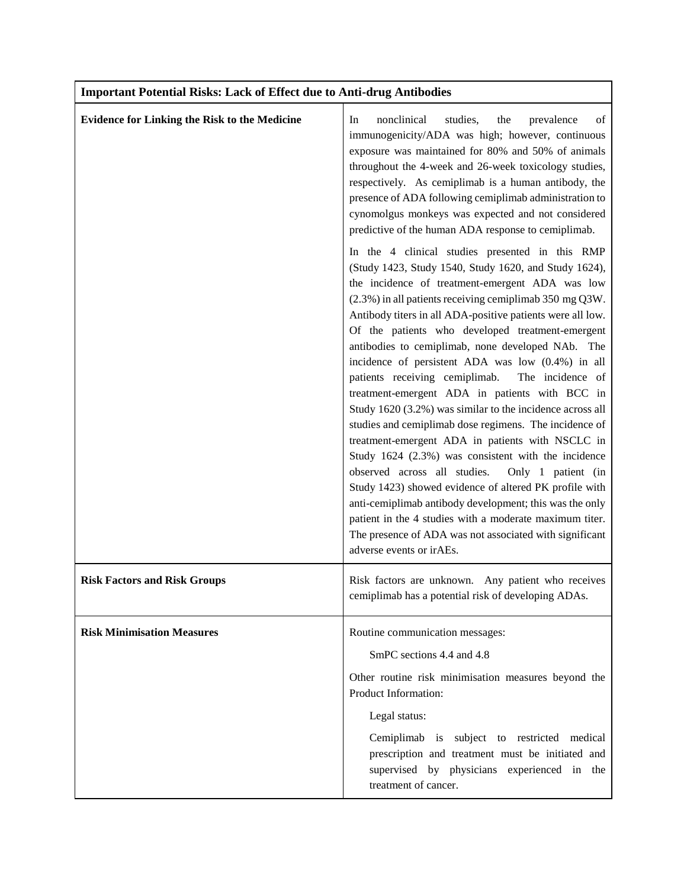| <b>Important Potential Risks: Lack of Effect due to Anti-drug Antibodies</b> |                                                                                                                                                                                                                                                                                                                                                                                                                                                                                                                                                                                                                                                                                                                                                                                                                                                                                                                                                                                                                                                                                                                                                                                                                                                                                                                                                                                                                                                                                                                                                                                         |  |
|------------------------------------------------------------------------------|-----------------------------------------------------------------------------------------------------------------------------------------------------------------------------------------------------------------------------------------------------------------------------------------------------------------------------------------------------------------------------------------------------------------------------------------------------------------------------------------------------------------------------------------------------------------------------------------------------------------------------------------------------------------------------------------------------------------------------------------------------------------------------------------------------------------------------------------------------------------------------------------------------------------------------------------------------------------------------------------------------------------------------------------------------------------------------------------------------------------------------------------------------------------------------------------------------------------------------------------------------------------------------------------------------------------------------------------------------------------------------------------------------------------------------------------------------------------------------------------------------------------------------------------------------------------------------------------|--|
| <b>Evidence for Linking the Risk to the Medicine</b>                         | nonclinical<br>studies,<br>In<br>the<br>prevalence<br>οf<br>immunogenicity/ADA was high; however, continuous<br>exposure was maintained for 80% and 50% of animals<br>throughout the 4-week and 26-week toxicology studies,<br>respectively. As cemiplimab is a human antibody, the<br>presence of ADA following cemiplimab administration to<br>cynomolgus monkeys was expected and not considered<br>predictive of the human ADA response to cemiplimab.<br>In the 4 clinical studies presented in this RMP<br>(Study 1423, Study 1540, Study 1620, and Study 1624),<br>the incidence of treatment-emergent ADA was low<br>(2.3%) in all patients receiving cemiplimab 350 mg Q3W.<br>Antibody titers in all ADA-positive patients were all low.<br>Of the patients who developed treatment-emergent<br>antibodies to cemiplimab, none developed NAb. The<br>incidence of persistent ADA was low (0.4%) in all<br>patients receiving cemiplimab.<br>The incidence of<br>treatment-emergent ADA in patients with BCC in<br>Study 1620 (3.2%) was similar to the incidence across all<br>studies and cemiplimab dose regimens. The incidence of<br>treatment-emergent ADA in patients with NSCLC in<br>Study 1624 (2.3%) was consistent with the incidence<br>observed across all studies.<br>Only 1 patient (in<br>Study 1423) showed evidence of altered PK profile with<br>anti-cemiplimab antibody development; this was the only<br>patient in the 4 studies with a moderate maximum titer.<br>The presence of ADA was not associated with significant<br>adverse events or irAEs. |  |
| <b>Risk Factors and Risk Groups</b>                                          | Risk factors are unknown. Any patient who receives<br>cemiplimab has a potential risk of developing ADAs.                                                                                                                                                                                                                                                                                                                                                                                                                                                                                                                                                                                                                                                                                                                                                                                                                                                                                                                                                                                                                                                                                                                                                                                                                                                                                                                                                                                                                                                                               |  |
| <b>Risk Minimisation Measures</b>                                            | Routine communication messages:<br>SmPC sections 4.4 and 4.8<br>Other routine risk minimisation measures beyond the<br>Product Information:<br>Legal status:<br>Cemiplimab is subject to restricted medical<br>prescription and treatment must be initiated and<br>supervised by physicians experienced in the<br>treatment of cancer.                                                                                                                                                                                                                                                                                                                                                                                                                                                                                                                                                                                                                                                                                                                                                                                                                                                                                                                                                                                                                                                                                                                                                                                                                                                  |  |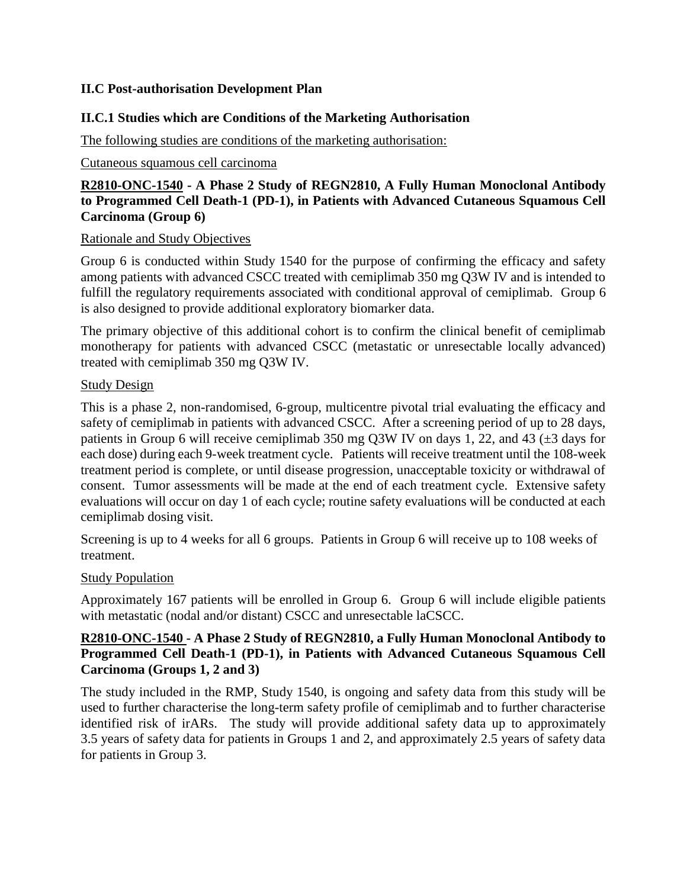# **II.C Post-authorisation Development Plan**

## **II.C.1 Studies which are Conditions of the Marketing Authorisation**

The following studies are conditions of the marketing authorisation:

#### Cutaneous squamous cell carcinoma

# **R2810-ONC-1540 - A Phase 2 Study of REGN2810, A Fully Human Monoclonal Antibody to Programmed Cell Death-1 (PD-1), in Patients with Advanced Cutaneous Squamous Cell Carcinoma (Group 6)**

#### Rationale and Study Objectives

Group 6 is conducted within Study 1540 for the purpose of confirming the efficacy and safety among patients with advanced CSCC treated with cemiplimab 350 mg Q3W IV and is intended to fulfill the regulatory requirements associated with conditional approval of cemiplimab. Group 6 is also designed to provide additional exploratory biomarker data.

The primary objective of this additional cohort is to confirm the clinical benefit of cemiplimab monotherapy for patients with advanced CSCC (metastatic or unresectable locally advanced) treated with cemiplimab 350 mg Q3W IV.

#### Study Design

This is a phase 2, non-randomised, 6-group, multicentre pivotal trial evaluating the efficacy and safety of cemiplimab in patients with advanced CSCC. After a screening period of up to 28 days, patients in Group 6 will receive cemiplimab 350 mg Q3W IV on days 1, 22, and 43  $(\pm 3$  days for each dose) during each 9-week treatment cycle. Patients will receive treatment until the 108-week treatment period is complete, or until disease progression, unacceptable toxicity or withdrawal of consent. Tumor assessments will be made at the end of each treatment cycle. Extensive safety evaluations will occur on day 1 of each cycle; routine safety evaluations will be conducted at each cemiplimab dosing visit.

Screening is up to 4 weeks for all 6 groups. Patients in Group 6 will receive up to 108 weeks of treatment.

#### Study Population

Approximately 167 patients will be enrolled in Group 6. Group 6 will include eligible patients with metastatic (nodal and/or distant) CSCC and unresectable laCSCC.

## **R2810-ONC-1540 - A Phase 2 Study of REGN2810, a Fully Human Monoclonal Antibody to Programmed Cell Death-1 (PD-1), in Patients with Advanced Cutaneous Squamous Cell Carcinoma (Groups 1, 2 and 3)**

The study included in the RMP, Study 1540, is ongoing and safety data from this study will be used to further characterise the long-term safety profile of cemiplimab and to further characterise identified risk of irARs. The study will provide additional safety data up to approximately 3.5 years of safety data for patients in Groups 1 and 2, and approximately 2.5 years of safety data for patients in Group 3.